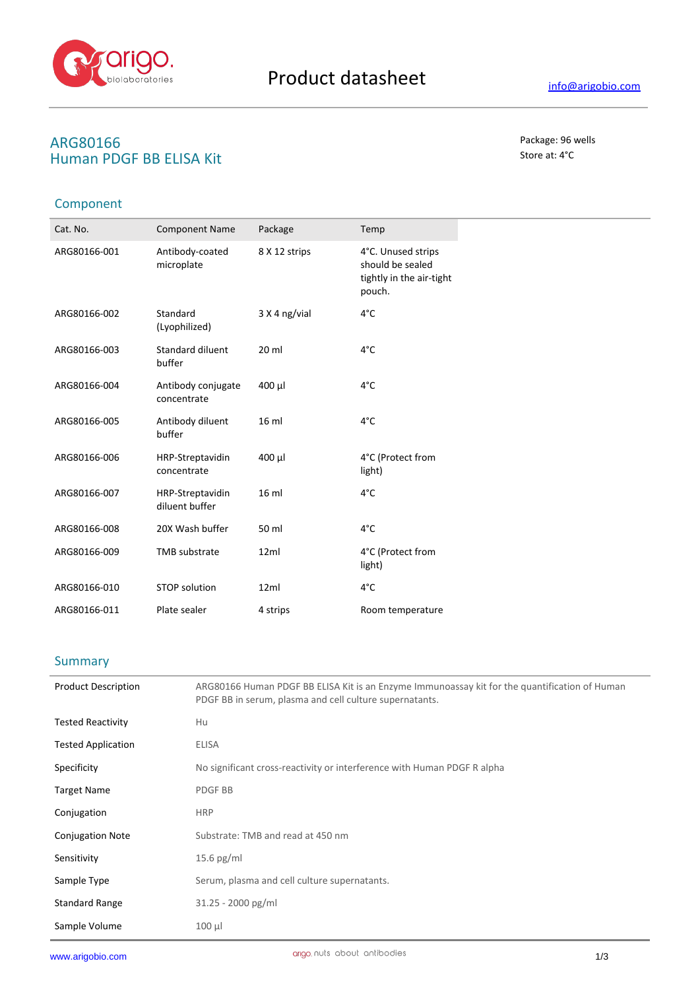

# **ARG80166** Package: 96 wells<br> **ARG80166** Package: 96 wells<br> **ALUMAN PINGE BRITISA Kit Human PDGF BB ELISA Kit**

## Component

| Cat. No.     | <b>Component Name</b>              | Package          | Temp                                                                         |
|--------------|------------------------------------|------------------|------------------------------------------------------------------------------|
| ARG80166-001 | Antibody-coated<br>microplate      | 8 X 12 strips    | 4°C. Unused strips<br>should be sealed<br>tightly in the air-tight<br>pouch. |
| ARG80166-002 | Standard<br>(Lyophilized)          | 3 X 4 ng/vial    | 4°C                                                                          |
| ARG80166-003 | Standard diluent<br>buffer         | $20$ ml          | 4°C                                                                          |
| ARG80166-004 | Antibody conjugate<br>concentrate  | 400 µl           | 4°C                                                                          |
| ARG80166-005 | Antibody diluent<br>buffer         | 16 <sub>ml</sub> | 4°C                                                                          |
| ARG80166-006 | HRP-Streptavidin<br>concentrate    | $400 \mu$        | 4°C (Protect from<br>light)                                                  |
| ARG80166-007 | HRP-Streptavidin<br>diluent buffer | 16 ml            | 4°C                                                                          |
| ARG80166-008 | 20X Wash buffer                    | 50 ml            | 4°C                                                                          |
| ARG80166-009 | <b>TMB</b> substrate               | 12ml             | 4°C (Protect from<br>light)                                                  |
| ARG80166-010 | <b>STOP solution</b>               | 12ml             | 4°C                                                                          |
| ARG80166-011 | Plate sealer                       | 4 strips         | Room temperature                                                             |

#### **Summary**

| <b>Product Description</b> | ARG80166 Human PDGF BB ELISA Kit is an Enzyme Immunoassay kit for the quantification of Human<br>PDGF BB in serum, plasma and cell culture supernatants. |
|----------------------------|----------------------------------------------------------------------------------------------------------------------------------------------------------|
| <b>Tested Reactivity</b>   | Hu                                                                                                                                                       |
| <b>Tested Application</b>  | <b>ELISA</b>                                                                                                                                             |
| Specificity                | No significant cross-reactivity or interference with Human PDGF R alpha                                                                                  |
| <b>Target Name</b>         | <b>PDGFBB</b>                                                                                                                                            |
| Conjugation                | <b>HRP</b>                                                                                                                                               |
| <b>Conjugation Note</b>    | Substrate: TMB and read at 450 nm                                                                                                                        |
| Sensitivity                | $15.6$ pg/ml                                                                                                                                             |
| Sample Type                | Serum, plasma and cell culture supernatants.                                                                                                             |
| <b>Standard Range</b>      | $31.25 - 2000$ pg/ml                                                                                                                                     |
| Sample Volume              | $100 \mu$                                                                                                                                                |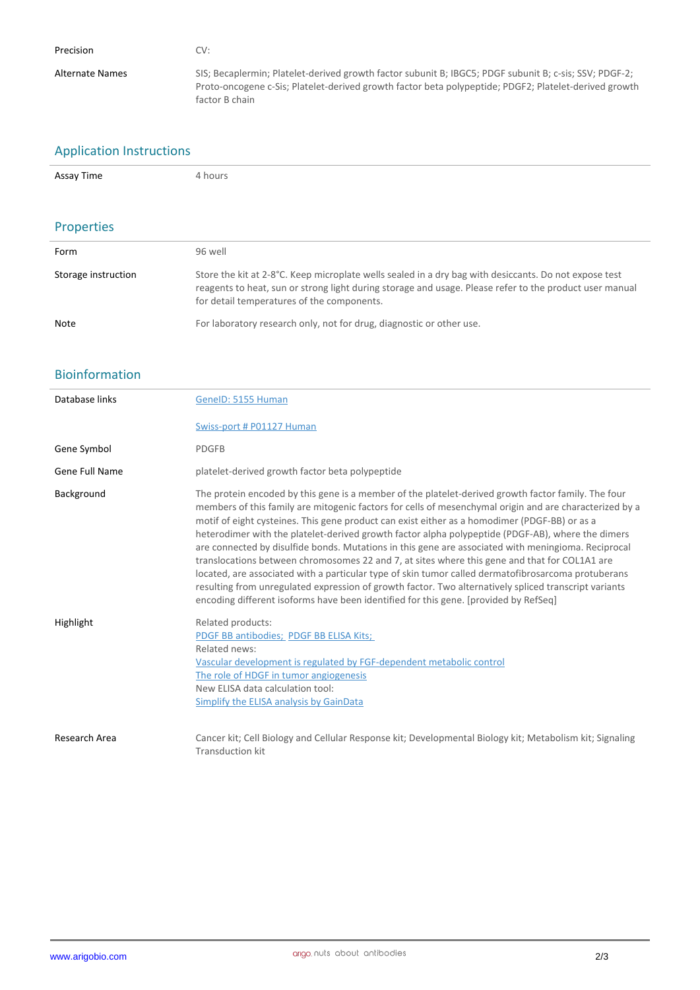| Precision       | CV:                                                                                                                                                                                                                               |
|-----------------|-----------------------------------------------------------------------------------------------------------------------------------------------------------------------------------------------------------------------------------|
| Alternate Names | SIS; Becaplermin; Platelet-derived growth factor subunit B; IBGC5; PDGF subunit B; c-sis; SSV; PDGF-2;<br>Proto-oncogene c-Sis; Platelet-derived growth factor beta polypeptide; PDGF2; Platelet-derived growth<br>factor B chain |

# Application Instructions

| Assay Time | hours |
|------------|-------|
|            |       |

# Properties

| Form                | 96 well                                                                                                                                                                                                                                                        |
|---------------------|----------------------------------------------------------------------------------------------------------------------------------------------------------------------------------------------------------------------------------------------------------------|
| Storage instruction | Store the kit at 2-8°C. Keep microplate wells sealed in a dry bag with desiccants. Do not expose test<br>reagents to heat, sun or strong light during storage and usage. Please refer to the product user manual<br>for detail temperatures of the components. |
| Note                | For laboratory research only, not for drug, diagnostic or other use.                                                                                                                                                                                           |

### Bioinformation

| Database links | GenelD: 5155 Human                                                                                                                                                                                                                                                                                                                                                                                                                                                                                                                                                                                                                                                                                                                                                                                                                                                                                                                   |
|----------------|--------------------------------------------------------------------------------------------------------------------------------------------------------------------------------------------------------------------------------------------------------------------------------------------------------------------------------------------------------------------------------------------------------------------------------------------------------------------------------------------------------------------------------------------------------------------------------------------------------------------------------------------------------------------------------------------------------------------------------------------------------------------------------------------------------------------------------------------------------------------------------------------------------------------------------------|
|                | Swiss-port # P01127 Human                                                                                                                                                                                                                                                                                                                                                                                                                                                                                                                                                                                                                                                                                                                                                                                                                                                                                                            |
| Gene Symbol    | <b>PDGFB</b>                                                                                                                                                                                                                                                                                                                                                                                                                                                                                                                                                                                                                                                                                                                                                                                                                                                                                                                         |
| Gene Full Name | platelet-derived growth factor beta polypeptide                                                                                                                                                                                                                                                                                                                                                                                                                                                                                                                                                                                                                                                                                                                                                                                                                                                                                      |
| Background     | The protein encoded by this gene is a member of the platelet-derived growth factor family. The four<br>members of this family are mitogenic factors for cells of mesenchymal origin and are characterized by a<br>motif of eight cysteines. This gene product can exist either as a homodimer (PDGF-BB) or as a<br>heterodimer with the platelet-derived growth factor alpha polypeptide (PDGF-AB), where the dimers<br>are connected by disulfide bonds. Mutations in this gene are associated with meningioma. Reciprocal<br>translocations between chromosomes 22 and 7, at sites where this gene and that for COL1A1 are<br>located, are associated with a particular type of skin tumor called dermatofibrosarcoma protuberans<br>resulting from unregulated expression of growth factor. Two alternatively spliced transcript variants<br>encoding different isoforms have been identified for this gene. [provided by RefSeq] |
| Highlight      | Related products:<br>PDGF BB antibodies; PDGF BB ELISA Kits;<br>Related news:<br>Vascular development is regulated by FGF-dependent metabolic control<br>The role of HDGF in tumor angiogenesis<br>New ELISA data calculation tool:<br>Simplify the ELISA analysis by GainData                                                                                                                                                                                                                                                                                                                                                                                                                                                                                                                                                                                                                                                       |
| Research Area  | Cancer kit; Cell Biology and Cellular Response kit; Developmental Biology kit; Metabolism kit; Signaling<br>Transduction kit                                                                                                                                                                                                                                                                                                                                                                                                                                                                                                                                                                                                                                                                                                                                                                                                         |